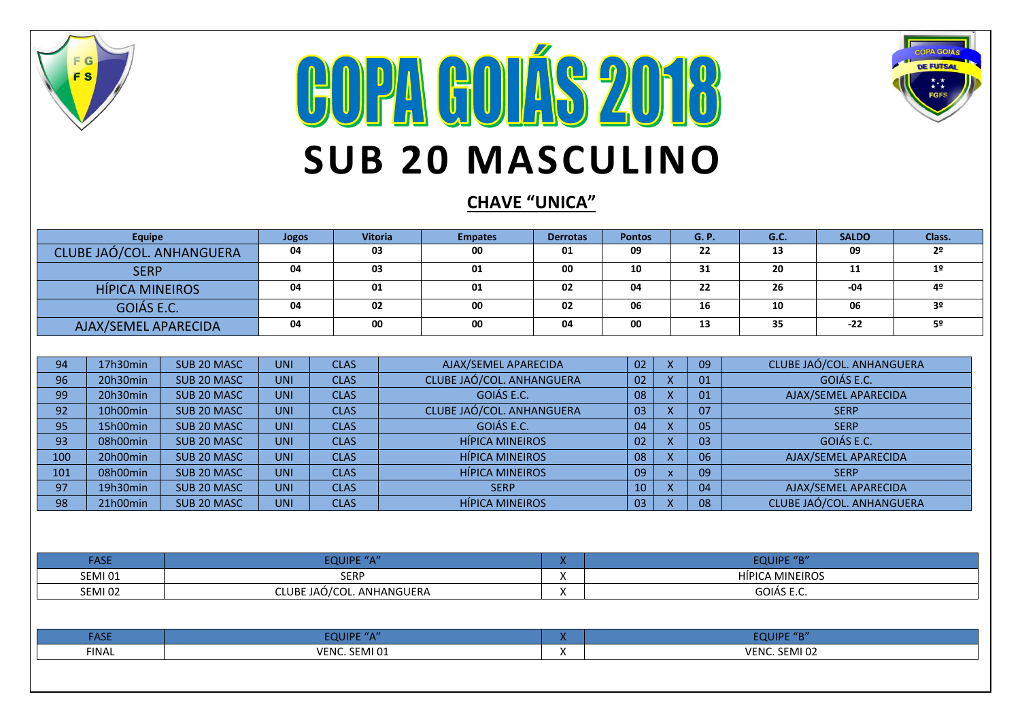





## **CHAVE "UNICA"**

| Equipe                    |                        | Jogos             | <b>Vitoria</b>            |             | <b>Empates</b>            | <b>Derrotas</b>           | <b>Pontos</b>     |                           | <b>G.P.</b>               | <b>G.C.</b>               | <b>SALDO</b>              | Class.               |                |  |
|---------------------------|------------------------|-------------------|---------------------------|-------------|---------------------------|---------------------------|-------------------|---------------------------|---------------------------|---------------------------|---------------------------|----------------------|----------------|--|
| CLUBE JAÓ/COL. ANHANGUERA |                        | 04                | 03                        |             | 00                        | 01                        | 09                |                           | 22                        | 13                        | 09                        | 2 <sup>o</sup>       |                |  |
| <b>SERP</b>               |                        | 04                | 03                        |             | 01                        | 00                        | 10                |                           | 31                        | 20                        | 11                        | 1 <sup>°</sup>       |                |  |
|                           | <b>HÍPICA MINEIROS</b> |                   | 04                        | 01          |                           | 01                        | 02                | 04                        |                           | 22                        | 26                        | $-04$                | 4º             |  |
|                           | GOIÁS E.C.             |                   | 04                        | 02          |                           | 00                        | 02                | 06                        |                           | 16                        | 10                        | 06                   | 3 <sup>o</sup> |  |
|                           | AJAX/SEMEL APARECIDA   |                   | 04                        | 00          |                           | 00                        | 04                | 00                        |                           | 13                        | 35                        | $-22$                | 5 <sup>o</sup> |  |
|                           |                        |                   |                           |             |                           |                           |                   |                           |                           |                           |                           |                      |                |  |
| 17h30min<br>94            |                        | SUB 20 MASC       | <b>UNI</b>                | <b>CLAS</b> | AJAX/SEMEL APARECIDA      |                           |                   | 02                        | $\pmb{\mathsf{X}}$<br>09  |                           | CLUBE JAÓ/COL. ANHANGUERA |                      |                |  |
| 96                        | 20h30min               | SUB 20 MASC       | <b>UNI</b>                | <b>CLAS</b> |                           | CLUBE JAÓ/COL. ANHANGUERA |                   | 02                        | $\pmb{\mathsf{X}}$        | 01                        |                           | GOIÁS E.C.           |                |  |
| 99                        | 20h30min               | SUB 20 MASC       | <b>UNI</b>                | <b>CLAS</b> |                           | GOIÁS E.C.                |                   | 08                        | $\mathsf{x}$              | 01                        |                           | AJAX/SEMEL APARECIDA |                |  |
| 92                        | 10h00min               | SUB 20 MASC       | <b>UNI</b>                | <b>CLAS</b> | CLUBE JAÓ/COL. ANHANGUERA |                           |                   | 03                        | $\mathsf{x}$              | 07                        |                           | <b>SERP</b>          |                |  |
| 95                        | 15h00min               | SUB 20 MASC       | <b>UNI</b>                | <b>CLAS</b> | GOIÁS E.C.                |                           |                   | 04                        | $\boldsymbol{\mathsf{X}}$ | 05                        | <b>SERP</b>               |                      |                |  |
| 93                        | 08h00min               | SUB 20 MASC       | <b>UNI</b>                | <b>CLAS</b> | <b>HÍPICA MINEIROS</b>    |                           | 02                | $\pmb{\mathsf{X}}$        | 03                        | GOIÁS E.C.                |                           |                      |                |  |
| 100                       | 20h00min               | SUB 20 MASC       | <b>UNI</b>                | <b>CLAS</b> | <b>HÍPICA MINEIROS</b>    |                           | 08                | $\mathsf{X}$              | 06                        | AJAX/SEMEL APARECIDA      |                           |                      |                |  |
| 101                       | 08h00min               | SUB 20 MASC       | <b>UNI</b>                | <b>CLAS</b> | <b>HÍPICA MINEIROS</b>    |                           | 09                | $\boldsymbol{\mathsf{x}}$ | 09                        |                           | <b>SERP</b>               |                      |                |  |
| 97                        | 19h30min               | SUB 20 MASC       | <b>UNI</b>                | <b>CLAS</b> | <b>SERP</b>               |                           | 10                | $\pmb{\mathsf{X}}$        | 04                        | AJAX/SEMEL APARECIDA      |                           |                      |                |  |
| 98                        | 21h00min               | SUB 20 MASC       | <b>UNI</b>                | <b>CLAS</b> | <b>HÍPICA MINEIROS</b>    |                           | 03                | $\boldsymbol{\mathsf{X}}$ | 08                        | CLUBE JAÓ/COL. ANHANGUERA |                           |                      |                |  |
|                           |                        |                   |                           |             |                           |                           |                   |                           |                           |                           |                           |                      |                |  |
| <b>FASE</b>               |                        | <b>EQUIPE "A"</b> |                           |             | X.                        |                           | <b>EQUIPE "B"</b> |                           |                           |                           |                           |                      |                |  |
| <b>SEMI 01</b>            |                        | <b>SERP</b>       |                           |             | X                         |                           |                   | <b>HÍPICA MINEIROS</b>    |                           |                           |                           |                      |                |  |
| <b>SEMI 02</b>            |                        |                   | CLUBE JAÓ/COL. ANHANGUERA |             | X                         |                           | GOIÁS E.C.        |                           |                           |                           |                           |                      |                |  |
|                           |                        |                   |                           |             |                           |                           |                   |                           |                           |                           |                           |                      |                |  |
| <b>FASE</b>               |                        | <b>EQUIPE "A"</b> |                           |             | X.                        | <b>EQUIPE "B"</b>         |                   |                           |                           |                           |                           |                      |                |  |
| <b>FINAL</b>              |                        | VENC. SEMI 01     |                           |             | X                         | VENC. SEMI 02             |                   |                           |                           |                           |                           |                      |                |  |
|                           |                        |                   |                           |             |                           |                           |                   |                           |                           |                           |                           |                      |                |  |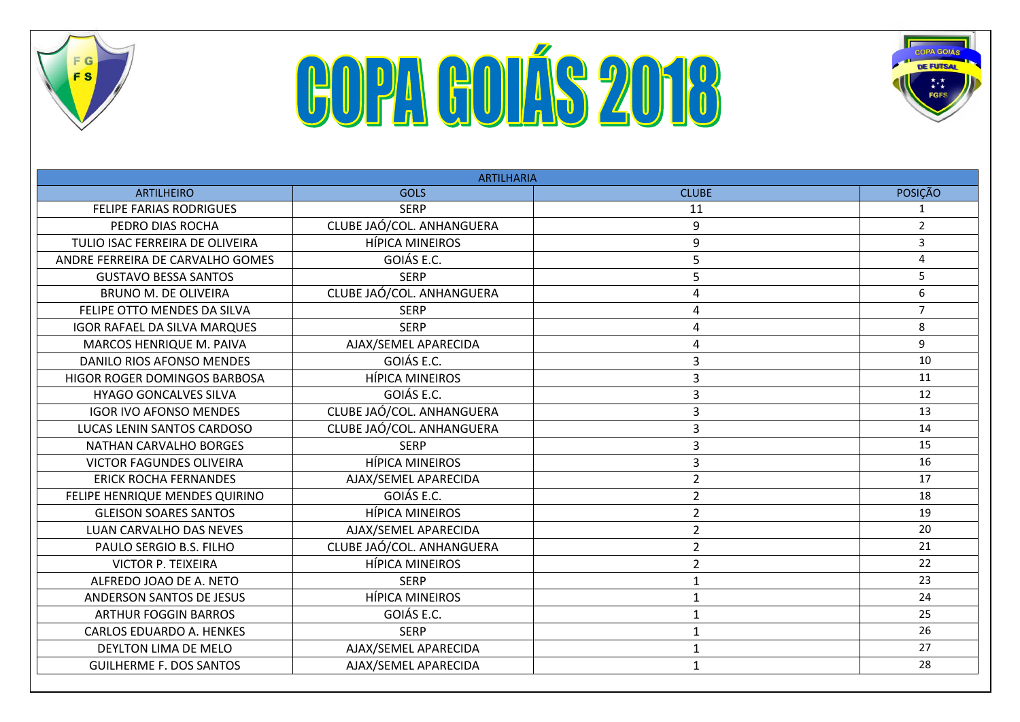

## **COPA GOLÁS 2018**



| <b>ARTILHARIA</b>                   |                           |                |                |  |  |  |  |  |
|-------------------------------------|---------------------------|----------------|----------------|--|--|--|--|--|
| <b>ARTILHEIRO</b>                   | <b>GOLS</b>               | <b>CLUBE</b>   | POSIÇÃO        |  |  |  |  |  |
| <b>FELIPE FARIAS RODRIGUES</b>      | <b>SERP</b>               | 11             |                |  |  |  |  |  |
| PEDRO DIAS ROCHA                    | CLUBE JAÓ/COL. ANHANGUERA | 9              | $\overline{2}$ |  |  |  |  |  |
| TULIO ISAC FERREIRA DE OLIVEIRA     | HÍPICA MINEIROS           | 9              | $\overline{3}$ |  |  |  |  |  |
| ANDRE FERREIRA DE CARVALHO GOMES    | GOIÁS E.C.                | 5              | $\overline{4}$ |  |  |  |  |  |
| <b>GUSTAVO BESSA SANTOS</b>         | <b>SERP</b>               | 5              | 5              |  |  |  |  |  |
| <b>BRUNO M. DE OLIVEIRA</b>         | CLUBE JAÓ/COL. ANHANGUERA | 4              | 6              |  |  |  |  |  |
| FELIPE OTTO MENDES DA SILVA         | <b>SERP</b>               | $\overline{4}$ | $\overline{7}$ |  |  |  |  |  |
| <b>IGOR RAFAEL DA SILVA MARQUES</b> | <b>SERP</b>               | $\overline{4}$ | 8              |  |  |  |  |  |
| MARCOS HENRIQUE M. PAIVA            | AJAX/SEMEL APARECIDA      | $\overline{4}$ | 9              |  |  |  |  |  |
| DANILO RIOS AFONSO MENDES           | GOIÁS E.C.                | $\overline{3}$ | 10             |  |  |  |  |  |
| HIGOR ROGER DOMINGOS BARBOSA        | <b>HÍPICA MINEIROS</b>    | $\overline{3}$ | 11             |  |  |  |  |  |
| <b>HYAGO GONCALVES SILVA</b>        | GOIÁS E.C.                | $\overline{3}$ | 12             |  |  |  |  |  |
| <b>IGOR IVO AFONSO MENDES</b>       | CLUBE JAÓ/COL. ANHANGUERA | 3              | 13             |  |  |  |  |  |
| LUCAS LENIN SANTOS CARDOSO          | CLUBE JAÓ/COL. ANHANGUERA | 3              | 14             |  |  |  |  |  |
| NATHAN CARVALHO BORGES              | <b>SERP</b>               | $\overline{3}$ | 15             |  |  |  |  |  |
| <b>VICTOR FAGUNDES OLIVEIRA</b>     | HÍPICA MINEIROS           | 3              | 16             |  |  |  |  |  |
| <b>ERICK ROCHA FERNANDES</b>        | AJAX/SEMEL APARECIDA      | $\overline{2}$ | 17             |  |  |  |  |  |
| FELIPE HENRIQUE MENDES QUIRINO      | GOIÁS E.C.                | $\overline{2}$ | 18             |  |  |  |  |  |
| <b>GLEISON SOARES SANTOS</b>        | <b>HÍPICA MINEIROS</b>    | $\overline{2}$ | 19             |  |  |  |  |  |
| LUAN CARVALHO DAS NEVES             | AJAX/SEMEL APARECIDA      | $\overline{2}$ | 20             |  |  |  |  |  |
| PAULO SERGIO B.S. FILHO             | CLUBE JAÓ/COL. ANHANGUERA | $\overline{2}$ | 21             |  |  |  |  |  |
| <b>VICTOR P. TEIXEIRA</b>           | HÍPICA MINEIROS           | $\overline{2}$ | 22             |  |  |  |  |  |
| ALFREDO JOAO DE A. NETO             | <b>SERP</b>               | $\mathbf 1$    | 23             |  |  |  |  |  |
| ANDERSON SANTOS DE JESUS            | <b>HÍPICA MINEIROS</b>    | $\mathbf{1}$   | 24             |  |  |  |  |  |
| <b>ARTHUR FOGGIN BARROS</b>         | GOIÁS E.C.                | $\mathbf{1}$   | 25             |  |  |  |  |  |
| <b>CARLOS EDUARDO A. HENKES</b>     | <b>SERP</b>               | $\mathbf{1}$   | 26             |  |  |  |  |  |
| <b>DEYLTON LIMA DE MELO</b>         | AJAX/SEMEL APARECIDA      | $\mathbf{1}$   | 27             |  |  |  |  |  |
| <b>GUILHERME F. DOS SANTOS</b>      | AJAX/SEMEL APARECIDA      | $\mathbf{1}$   | 28             |  |  |  |  |  |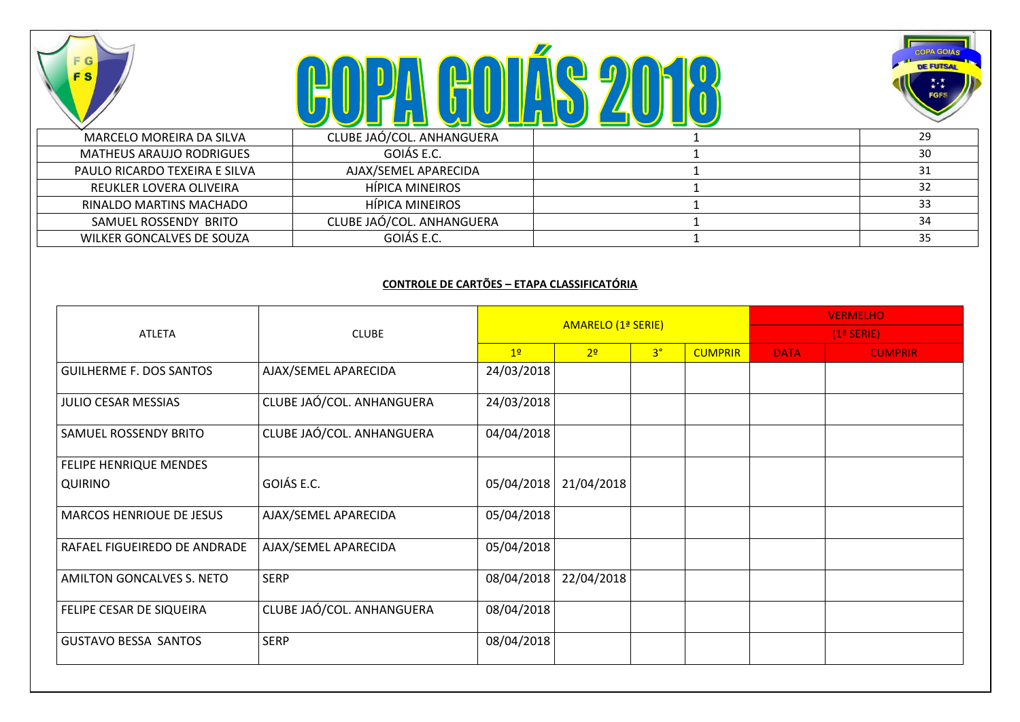| $\mathbf{G}$<br><b>FS</b>       |                           | <b>COPA GOIÁS</b><br><b>DE FUTSAL</b><br>$\mathcal{L}^{\star}$<br><b>FGFS</b> |
|---------------------------------|---------------------------|-------------------------------------------------------------------------------|
| MARCELO MOREIRA DA SILVA        | CLUBE JAÓ/COL. ANHANGUERA | 29                                                                            |
| <b>MATHEUS ARAUJO RODRIGUES</b> | GOIÁS E.C.                | 30                                                                            |
| PAULO RICARDO TEXEIRA E SILVA   | AJAX/SEMEL APARECIDA      | 31                                                                            |
| REUKLER LOVERA OLIVEIRA         | HÍPICA MINEIROS           | 32                                                                            |
| RINALDO MARTINS MACHADO         | HÍPICA MINEIROS           | 33                                                                            |
| SAMUEL ROSSENDY BRITO           | CLUBE JAÓ/COL. ANHANGUERA | 34                                                                            |
| WILKER GONCALVES DE SOUZA       | GOIÁS E.C.                | 35                                                                            |

## **CONTROLE DE CARTÕES – ETAPA CLASSIFICATÓRIA**

|                                  |                           |                | AMARELO (1ª SERIE) |                | <b>VERMELHO</b> |              |                |  |
|----------------------------------|---------------------------|----------------|--------------------|----------------|-----------------|--------------|----------------|--|
| <b>ATLETA</b>                    | <b>CLUBE</b>              |                |                    |                |                 | $(1a$ SERIE) |                |  |
|                                  |                           | 1 <sup>2</sup> | 2 <sup>0</sup>     | 3 <sup>°</sup> | <b>CUMPRIR</b>  | <b>DATA</b>  | <b>CUMPRIR</b> |  |
| <b>GUILHERME F. DOS SANTOS</b>   | AJAX/SEMEL APARECIDA      | 24/03/2018     |                    |                |                 |              |                |  |
| JULIO CESAR MESSIAS              | CLUBE JAÓ/COL. ANHANGUERA | 24/03/2018     |                    |                |                 |              |                |  |
| SAMUEL ROSSENDY BRITO            | CLUBE JAÓ/COL. ANHANGUERA | 04/04/2018     |                    |                |                 |              |                |  |
| <b>FELIPE HENRIQUE MENDES</b>    |                           |                |                    |                |                 |              |                |  |
| <b>QUIRINO</b>                   | GOIÁS E.C.                | 05/04/2018     | 21/04/2018         |                |                 |              |                |  |
| <b>MARCOS HENRIOUE DE JESUS</b>  | AJAX/SEMEL APARECIDA      | 05/04/2018     |                    |                |                 |              |                |  |
| RAFAEL FIGUEIREDO DE ANDRADE     | AJAX/SEMEL APARECIDA      | 05/04/2018     |                    |                |                 |              |                |  |
| <b>AMILTON GONCALVES S. NETO</b> | <b>SERP</b>               | 08/04/2018     | 22/04/2018         |                |                 |              |                |  |
| FELIPE CESAR DE SIQUEIRA         | CLUBE JAÓ/COL. ANHANGUERA | 08/04/2018     |                    |                |                 |              |                |  |
| <b>GUSTAVO BESSA SANTOS</b>      | <b>SERP</b>               | 08/04/2018     |                    |                |                 |              |                |  |